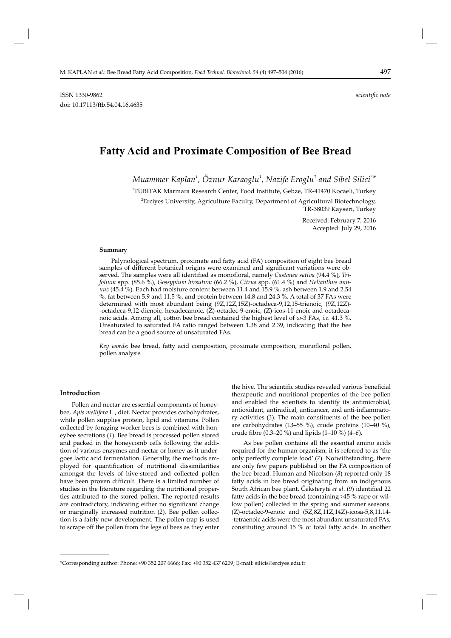# **Fatty Acid and Proximate Composition of Bee Bread**

*Muammer Kaplan<sup>1</sup> , Öznur Karaoglu<sup>1</sup> , Nazife Eroglu<sup>1</sup> and Sibel Silici<sup>2</sup> \**

1 TUBITAK Marmara Research Center, Food Institute, Gebze, TR-41470 Kocaeli, Turkey

 $^2$ Erciyes University, Agriculture Faculty, Department of Agricultural Biotechnology, TR-38039 Kayseri, Turkey

> Received: February 7, 2016 Accepted: July 29, 2016

#### **Summary**

Palynological spectrum, proximate and fatty acid (FA) composition of eight bee bread samples of different botanical origins were examined and significant variations were observed. The samples were all identified as monofloral, namely *Castanea sativa* (94.4 %), Tri*folium* spp. (85.6 %), *Gossypium hirsutum* (66.2 %), *Citrus* spp. (61.4 %) and *Helianthus annuus* (45.4 %). Each had moisture content between 11.4 and 15.9 %, ash between 1.9 and 2.54 %, fat between 5.9 and 11.5 %, and protein between 14.8 and 24.3 %. A total of 37 FAs were determined with most abundant being (9Z,12Z,15Z)-octadeca-9,12,15-trienoic, (9Z,12Z)- -octadeca-9,12-dienoic, hexadecanoic, (Z)-octadec-9-enoic, (Z)-icos-11-enoic and octadecanoic acids. Among all, cotton bee bread contained the highest level of ω-3 FAs, *i.e.* 41.3 %. Unsaturated to saturated FA ratio ranged between 1.38 and 2.39, indicating that the bee bread can be a good source of unsaturated FAs.

Key words: bee bread, fatty acid composition, proximate composition, monofloral pollen, pollen analysis

## **Introduction**

**\_\_\_\_\_\_\_\_\_\_\_\_\_\_\_\_\_\_\_\_\_\_\_\_\_\_\_\_\_\_**

Pollen and nectar are essential components of honeybee, *Apis mellifera* L., diet. Nectar provides carbohydrates, while pollen supplies protein, lipid and vitamins. Pollen collected by foraging worker bees is combined with honeybee secretions (*1*). Bee bread is processed pollen stored and packed in the honeycomb cells following the addition of various enzymes and nectar or honey as it undergoes lactic acid fermentation. Generally, the methods employed for quantification of nutritional dissimilarities amongst the levels of hive-stored and collected pollen have been proven difficult. There is a limited number of studies in the literature regarding the nutritional properties attributed to the stored pollen. The reported results are contradictory, indicating either no significant change or marginally increased nutrition (*2*)*.* Bee pollen collection is a fairly new development. The pollen trap is used to scrape off the pollen from the legs of bees as they enter

the hive. The scientific studies revealed various beneficial therapeutic and nutritional properties of the bee pollen and enabled the scientists to identify its antimicrobial, antioxidant, antiradical, anticancer, and anti-inflammatory activities (*3*)*.* The main constituents of the bee pollen are carbohydrates (13–55 %), crude proteins (10–40 %), crude fi bre (0.3–20 %) and lipids (1–10 %) (*4–6*)*.*

As bee pollen contains all the essential amino acids required for the human organism, it is referred to as 'the only perfectly complete food' (*7*)*.* Notwithstanding, there are only few papers published on the FA composition of the bee bread. Human and Nicolson (*8*) reported only 18 fatty acids in bee bread originating from an indigenous South African bee plant. Čeksterytė *et al.* (9) identified 22 fatty acids in the bee bread (containing  $>45$  % rape or willow pollen) collected in the spring and summer seasons. (Z)-octadec-9-enoic and (5Z,8Z,11Z,14Z)-icosa-5,8,11,14- -tetraenoic acids were the most abundant unsaturated FAs, constituting around 15 % of total fatty acids. In another

<sup>\*</sup>Corresponding author: Phone: +90 352 207 6666; Fax: +90 352 437 6209; E-mail: silicis@erciyes.edu.tr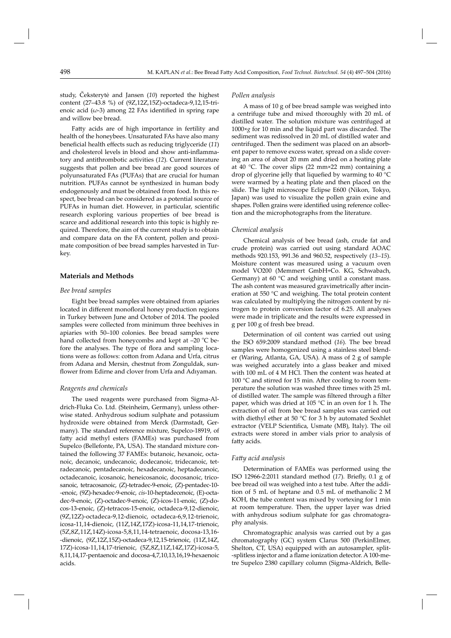study, Čeksterytė and Jansen (*10*) reported the highest content (27–43.8 %) of (9Z,12Z,15Z)-octadeca-9,12,15-trienoic acid  $(\omega-3)$  among 22 FAs identified in spring rape and willow bee bread.

Fatty acids are of high importance in fertility and health of the honeybees. Unsaturated FAs have also many beneficial health effects such as reducing triglyceride (11) and cholesterol levels in blood and show anti-inflammatory and antithrombotic activities (*12*)*.* Current literature suggests that pollen and bee bread are good sources of polyunsaturated FAs (PUFAs) that are crucial for human nutrition. PUFAs cannot be synthesized in human body endogenously and must be obtained from food. In this respect, bee bread can be considered as a potential source of PUFAs in human diet. However, in particular, scientific research exploring various properties of bee bread is scarce and additional research into this topic is highly required. Therefore, the aim of the current study is to obtain and compare data on the FA content, pollen and proximate composition of bee bread samples harvested in Turkey.

# **Materials and Methods**

## *Bee bread samples*

Eight bee bread samples were obtained from apiaries located in different monofloral honey production regions in Turkey between June and October of 2014. The pooled samples were collected from minimum three beehives in apiaries with 50–100 colonies. Bee bread samples were hand collected from honeycombs and kept at  $-20$  °C before the analyses. The type of flora and sampling locations were as follows: cotton from Adana and Urfa, citrus from Adana and Mersin, chestnut from Zonguldak, sunflower from Edirne and clover from Urfa and Adıyaman.

## *Reagents and chemicals*

The used reagents were purchased from Sigma-Aldrich-Fluka Co. Ltd. (Steinheim, Germany), unless otherwise stated. Anhydrous sodium sulphate and potassium hydroxide were obtained from Merck (Darmstadt, Germany). The standard reference mixture, Supelco-18919, of fatty acid methyl esters (FAMEs) was purchased from Supelco (Bellefonte, PA, USA). The standard mixture contained the following 37 FAMEs: butanoic, hexanoic, octanoic, decanoic, undecanoic, dodecanoic, tridecanoic, tetradecanoic, pentadecanoic, hexadecanoic, heptadecanoic, octadecanoic, icosanoic, heneicosanoic, docosanoic, tricosanoic, tetracosanoic, (Z)-tetradec-9-enoic, (Z)-pentadec-10--enoic, (9Z)-hexadec-9-enoic, *cis*-10-heptadecenoic, (E)-octa dec-9-enoic, (Z)-octadec-9-enoic, (Z)-icos-11-enoic, (Z)-docos-13-enoic, (Z)-tetracos-15-enoic, octadeca-9,12 -dienoic, (9Z,12Z)-octadeca-9,12-dienoic, octadeca-6,9,12-trienoic, icosa -11,14-dienoic, (11Z,14Z,17Z)-icosa-11,14,17-trienoic, (5Z,8Z,11Z,14Z)-icosa-5,8,11,14-tetraenoic, docosa-13,16- -dienoic, (9Z,12Z,15Z)-octadeca-9,12,15-trienoic, (11Z,14Z, 17Z)-icosa-11,14,17-trienoic, (5Z,8Z,11Z,14Z,17Z)-icosa-5, 8,11,14,17-pentaenoic and docosa-4,7,10,13,16,19-hexaenoic acids.

#### *Pollen analysis*

A mass of 10 g of bee bread sample was weighed into a centrifuge tube and mixed thoroughly with 20 mL of distilled water. The solution mixture was centrifuged at 1000×*g* for 10 min and the liquid part was discarded. The sediment was redissolved in 20 mL of distilled water and centrifuged. Then the sediment was placed on an absorbent paper to remove excess water, spread on a slide covering an area of about 20 mm and dried on a heating plate at 40 °C. The cover slips (22 mm×22 mm) containing a drop of glycerine jelly that liquefied by warming to  $40 °C$ were warmed by a heating plate and then placed on the slide. The light microscope Eclipse E600 (Nikon, Tokyo, Japan) was used to visualize the pollen grain exine and shapes. Pollen grains were identified using reference collection and the microphotographs from the literature.

## *Chemical analysis*

Chemical analysis of bee bread (ash, crude fat and crude protein) was carried out using standard AOAC methods 920.153, 991.36 and 960.52, respectively (*13–15*). Moisture content was measured using a vacuum oven model VO200 (Memmert GmbH+Co. KG, Schwabach, Germany) at 60 °C and weighing until a constant mass. The ash content was measured gravimetrically after incineration at 550 °C and weighing. The total protein content was calculated by multiplying the nitrogen content by nitrogen to protein conversion factor of 6.25. All analyses were made in triplicate and the results were expressed in g per 100 g of fresh bee bread.

Determination of oil content was carried out using the ISO 659:2009 standard method (*16*)*.* The bee bread samples were homogenized using a stainless steel blender (Waring, Atlanta, GA, USA). A mass of 2 g of sample was weighed accurately into a glass beaker and mixed with 100 mL of 4 M HCl. Then the content was heated at 100  $\degree$ C and stirred for 15 min. After cooling to room temperature the solution was washed three times with 25 mL of distilled water. The sample was filtered through a filter paper, which was dried at 105 °C in an oven for 1 h. The extraction of oil from bee bread samples was carried out with diethyl ether at 50 °C for 3 h by automated Soxhlet extractor (VELP Scientifica, Usmate (MB), Italy). The oil extracts were stored in amber vials prior to analysis of fatty acids.

## *Fatt y acid analysis*

Determination of FAMEs was performed using the ISO 12966-2:2011 standard method (17). Briefly, 0.1 g of bee bread oil was weighed into a test tube. After the addition of 5 mL of heptane and 0.5 mL of methanolic 2 M KOH, the tube content was mixed by vortexing for 1 min at room temperature. Then, the upper layer was dried with anhydrous sodium sulphate for gas chromatography analysis.

Chromatographic analysis was carried out by a gas chromatography (GC) system Clarus 500 (PerkinElmer, Shelton, CT, USA) equipped with an autosampler, split- -splitless injector and a flame ionization detector. A 100-metre Supelco 2380 capillary column (Sigma-Aldrich, Belle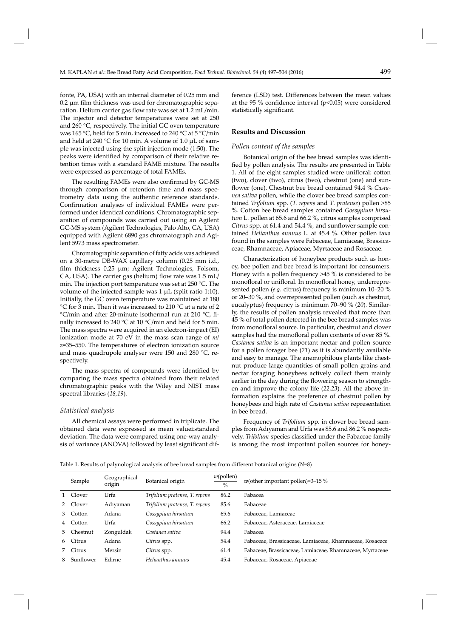fonte, PA, USA) with an internal diameter of 0.25 mm and 0.2 μm film thickness was used for chromatographic separation. Helium carrier gas flow rate was set at 1.2 mL/min. The injector and detector temperatures were set at 250 and 260 °C, respectively. The initial GC oven temperature was 165 °C, held for 5 min, increased to 240 °C at 5 °C/min and held at 240 °C for 10 min. A volume of 1.0 μL of sample was injected using the split injection mode (1:50). The peaks were identified by comparison of their relative retention times with a standard FAME mixture. The results were expressed as percentage of total FAMEs.

The resulting FAMEs were also confirmed by GC-MS through comparison of retention time and mass spectrometry data using the authentic reference standards. Confirmation analyses of individual FAMEs were performed under identical conditions. Chromatographic separation of compounds was carried out using an Agilent GC-MS system (Agilent Technologies, Palo Alto, CA, USA) equipped with Agilent 6890 gas chromatograph and Agilent 5973 mass spectrometer.

Chromatographic separation of fatty acids was achieved on a 30-metre DB-WAX capillary column (0.25 mm i.d., film thickness  $0.25 \mu m$ ; Agilent Technologies, Folsom, CA, USA). The carrier gas (helium) flow rate was  $1.5$  mL/ min. The injection port temperature was set at 250 °C. The volume of the injected sample was 1 μL (split ratio 1:10). Initially, the GC oven temperature was maintained at 180 °C for 3 min. Then it was increased to 210 °C at a rate of 2  $\degree$ C/min and after 20-minute isothermal run at 210  $\degree$ C, finally increased to 240 °C at 10 °C/min and held for 5 min. The mass spectra were acquired in an electron-impact (EI) ionization mode at 70 eV in the mass scan range of *m/ z*=35–550. The temperatures of electron ionization source and mass quadrupole analyser were 150 and 280 °C, respectively.

The mass spectra of compounds were identified by comparing the mass spectra obtained from their related chromatographic peaks with the Wiley and NIST mass spectral libraries (*18,19*)*.*

#### *Statistical analysis*

All chemical assays were performed in triplicate. The obtained data were expressed as mean value±standard deviation. The data were compared using one-way analysis of variance (ANOVA) followed by least significant difference (LSD) test. Differences between the mean values at the 95 % confidence interval ( $p$ <0.05) were considered statistically significant.

## **Results and Discussion**

#### *Pollen content of the samples*

Botanical origin of the bee bread samples was identified by pollen analysis. The results are presented in Table 1. All of the eight samples studied were unifloral: cotton (two), clover (two), citrus (two), chestnut (one) and sunflower (one). Chestnut bee bread contained 94.4 % *Castanea sativa* pollen, while the clover bee bread samples contained *Trifolium* spp. (*T. repens* and *T*. *pratense*) pollen >85 %. Cotton bee bread samples contained *Gossypium hirsutum* L. pollen at 65.6 and 66.2 %, citrus samples comprised *Citrus* spp. at 61.4 and 54.4 %, and sunflower sample contained *Helianthus annuus* L. at 45.4 %. Other pollen taxa found in the samples were Fabaceae, Lamiaceae, Brassicaceae, Rhamnaceae, Apiaceae, Myrtaceae and Rosaceae.

Characterization of honeybee products such as honey, bee pollen and bee bread is important for consumers. Honey with a pollen frequency >45 % is considered to be monofloral or unifloral. In monofloral honey, underrepresented pollen (*e.g.* citrus) frequency is minimum 10–20 % or 20–30 %, and overrepresented pollen (such as chestnut, eucalyptus) frequency is minimum 70–90 % (*20*)*.* Similarly, the results of pollen analysis revealed that more than 45 % of total pollen detected in the bee bread samples was from monofloral source. In particular, chestnut and clover samples had the monofloral pollen contents of over 85 %. *Castanea sativa* is an important nectar and pollen source for a pollen forager bee (*21*) as it is abundantly available and easy to manage. The anemophilous plants like chestnut produce large quantities of small pollen grains and nectar foraging honeybees actively collect them mainly earlier in the day during the flowering season to strengthen and improve the colony life (*22,23*)*.* All the above information explains the preference of chestnut pollen by honeybees and high rate of *Castanea sativa* representation in bee bread.

Frequency of *Trifolium* spp. in clover bee bread samples from Adıyaman and Urfa was 85.6 and 86.2 % respectively. *Trifolium* species classified under the Fabaceae family is among the most important pollen sources for honey-

Table 1. Results of palynological analysis of bee bread samples from different botanical origins (*N*=8)

|    | Sample    | Geographical<br>origin | Botanical origin              | w(pollen)<br>$\frac{0}{0}$ | $w$ (other important pollen)=3-15 %                      |
|----|-----------|------------------------|-------------------------------|----------------------------|----------------------------------------------------------|
|    | Clover    | Urfa                   | Trifolium pratense, T. repens | 86.2                       | Fabacea                                                  |
| 2  | Clover    | Adıyaman               | Trifolium pratense, T. repens | 85.6                       | Fabaceae                                                 |
| 3  | Cotton    | Adana                  | Gossypium hirsutum            | 65.6                       | Fabaceae, Lamiaceae                                      |
| 4  | Cotton    | Urfa                   | Gossypium hirsutum            | 66.2                       | Fabaceae, Asteraceae, Lamiaceae                          |
| 5. | Chestnut  | Zonguldak              | Castanea sativa               | 94.4                       | Fabacea                                                  |
| 6  | Citrus    | Adana                  | Citrus spp.                   | 54.4                       | Fabaceae, Brassicaceae, Lamiaceae, Rhamnaceae, Rosacece  |
|    | Citrus    | Mersin                 | Citrus spp.                   | 61.4                       | Fabaceae, Brassicaceae, Lamiaceae, Rhamnaceae, Myrtaceae |
| 8  | Sunflower | Edirne                 | Helianthus annuus             | 45.4                       | Fabaceae, Rosaceae, Apiaceae                             |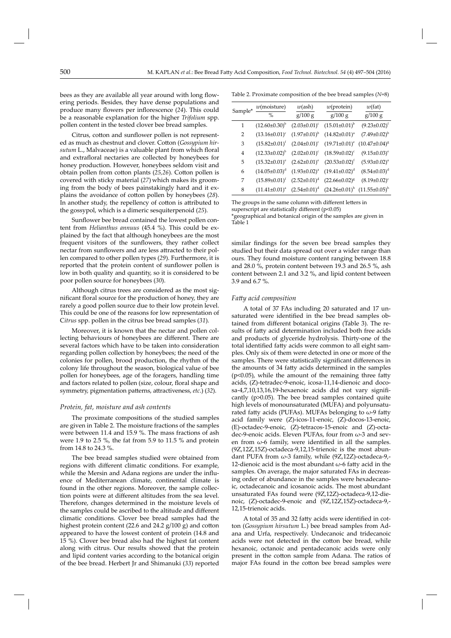bees as they are available all year around with long flowering periods. Besides, they have dense populations and produce many flowers per inflorescence (24). This could be a reasonable explanation for the higher *Trifolium* spp. pollen content in the tested clover bee bread samples.

Citrus, cotton and sunflower pollen is not represented as much as chestnut and clover. Cotton (*Gossypium hir*sutum L., Malvaceae) is a valuable plant from which floral and extrafloral nectaries are collected by honeybees for honey production. However, honeybees seldom visit and obtain pollen from cotton plants (25,26). Cotton pollen is covered with sticky material (*27*) which makes its grooming from the body of bees painstakingly hard and it explains the avoidance of cotton pollen by honeybees (28). In another study, the repellency of cotton is attributed to the gossypol, which is a dimeric sesquiterpenoid (*25*).

Sunflower bee bread contained the lowest pollen content from *Helianthus annuus* (45.4 %). This could be explained by the fact that although honeybees are the most frequent visitors of the sunflowers, they rather collect nectar from sunflowers and are less attracted to their pollen compared to other pollen types (*29*). Furthermore, it is reported that the protein content of sunflower pollen is low in both quality and quantity, so it is considered to be poor pollen source for honeybees (*30*).

Although citrus trees are considered as the most significant floral source for the production of honey, they are rarely a good pollen source due to their low protein level. This could be one of the reasons for low representation of C*itrus* spp. pollen in the citrus bee bread samples (*31*).

Moreover, it is known that the nectar and pollen collecting behaviours of honeybees are different. There are several factors which have to be taken into consideration regarding pollen collection by honeybees; the need of the colonies for pollen, brood production, the rhythm of the colony life throughout the season, biological value of bee pollen for honeybees, age of the foragers, handling time and factors related to pollen (size, colour, floral shape and symmetry, pigmentation patterns, attractiveness, *etc*.) (32).

## *Protein, fat, moisture and ash contents*

The proximate compositions of the studied samples are given in Table 2. The moisture fractions of the samples were between 11.4 and 15.9 %. The mass fractions of ash were 1.9 to 2.5 %, the fat from 5.9 to 11.5 % and protein from 14.8 to 24.3 %.

The bee bread samples studied were obtained from regions with different climatic conditions. For example, while the Mersin and Adana regions are under the influence of Mediterranean climate, continental climate is found in the other regions. Moreover, the sample collection points were at different altitudes from the sea level. Therefore, changes determined in the moisture levels of the samples could be ascribed to the altitude and different climatic conditions. Clover bee bread samples had the highest protein content (22.6 and 24.2  $g/100 g$ ) and cotton appeared to have the lowest content of protein (14.8 and 15 %). Clover bee bread also had the highest fat content along with citrus. Our results showed that the protein and lipid content varies according to the botanical origin of the bee bread. Herbert Jr and Shimanuki (*33*) reported

Table 2. Proximate composition of the bee bread samples (*N*=8)

|         | $w$ (moisture)                       | $w(\text{ash})$       | $w$ (protein)          | w(fat)                |
|---------|--------------------------------------|-----------------------|------------------------|-----------------------|
| Sample* | $\%$                                 | g/100 g               | g/100 g                | g/100 g               |
| 1       | $(12.60\pm0.30)^{b}$                 | $(2.03 \pm 0.01)^c$   | $(15.01 \pm 0.01)^{b}$ | $(9.23 \pm 0.02)^t$   |
| 2       | $(13.16 \pm 0.01)^c$                 | $(1.97 \pm 0.01)^{b}$ | $(14.82 \pm 0.01)^a$   | $(7.49 \pm 0.02)^{b}$ |
| 3       | $(15.82 \pm 0.01)^f$                 | $(2.04 \pm 0.01)^c$   | $(19.71 \pm 0.01)^e$   | $(10.47\pm0.04)^8$    |
| 4       | $(12.33\pm0.02)^{b}$                 | $(2.02 \pm 0.01)^c$   | $(18.59 \pm 0.02)^c$   | $(9.15 \pm 0.03)^e$   |
| 5       | $(15.32 \pm 0.01)^e$                 | $(2.62 \pm 0.01)^e$   | $(20.53 \pm 0.02)^t$   | $(5.93 \pm 0.02)^a$   |
| 6       | $(14.05 \pm 0.03)^d$                 | $(1.93 \pm 0.02)^a$   | $(19.41\pm0.02)^d$     | $(8.54 \pm 0.03)^d$   |
| 7       | $(15.89\pm0.01)^f$ $(2.52\pm0.01)^d$ |                       | $(22.66 \pm 0.02)^8$   | $(8.19 \pm 0.02)^c$   |
| 8       | $(11.41\pm0.01)^a$ $(2.54\pm0.01)^d$ |                       | $(24.26 \pm 0.01)^h$   | $(11.55 \pm 0.05)^h$  |
|         |                                      |                       |                        |                       |

The groups in the same column with different letters in superscript are statistically different  $(p<0.05)$ 

\*geographical and botanical origin of the samples are given in Table 1

similar findings for the seven bee bread samples they studied but their data spread out over a wider range than ours. They found moisture content ranging between 18.8 and 28.0 %, protein content between 19.3 and 26.5 %, ash content between 2.1 and 3.2 %, and lipid content between 3.9 and 6.7 %.

#### *Fatt y acid composition*

A total of 37 FAs including 20 saturated and 17 unsaturated were identified in the bee bread samples obtained from different botanical origins (Table 3). The results of fatty acid determination included both free acids and products of glyceride hydrolysis. Thirty-one of the total identified fatty acids were common to all eight samples. Only six of them were detected in one or more of the samples. There were statistically significant differences in the amounts of 34 fatty acids determined in the samples  $(p<0.05)$ , while the amount of the remaining three fatty acids, (Z)-tetradec-9-enoic, icosa-11,14-dienoic and doco $sa-4,7,10,13,16,19$ -hexaenoic acids did not vary significantly (p>0.05). The bee bread samples contained quite high levels of monounsaturated (MUFA) and polyunsaturated fatty acids (PUFAs). MUFAs belonging to  $\omega$ -9 fatty acid family were (Z)-icos-11-enoic, (Z)-docos-13-enoic, (E)-oc tadec-9-enoic, (Z)-tetracos-15-enoic and (Z)-octadec-9-enoic acids. Eleven PUFAs, four from  $\omega$ -3 and seven from  $\omega$ -6 family, were identified in all the samples. (9Z,12Z,15Z)-octadeca-9,12,15-trienoic is the most abundant PUFA from  $\omega$ -3 family, while (9Z,12Z)-octadeca-9,-12-dienoic acid is the most abundant  $\omega$ -6 fatty acid in the samples. On average, the major saturated FAs in decreasing order of abundance in the samples were hexadecanoic, octadecanoic and icosanoic acids. The most abundant unsaturated FAs found were (9Z,12Z)-octadeca-9,12-dienoic, (Z)-octadec-9-enoic and (9Z,12Z,15Z)-octadeca-9,- 12,15-trienoic acids.

A total of 35 and 32 fatty acids were identified in cotton (*Gossypium hirsutum* L.) bee bread samples from Adana and Urfa, respectively. Undecanoic and tridecanoic acids were not detected in the cotton bee bread, while hexanoic, octanoic and pentadecanoic acids were only present in the cotton sample from Adana. The ratios of major FAs found in the cotton bee bread samples were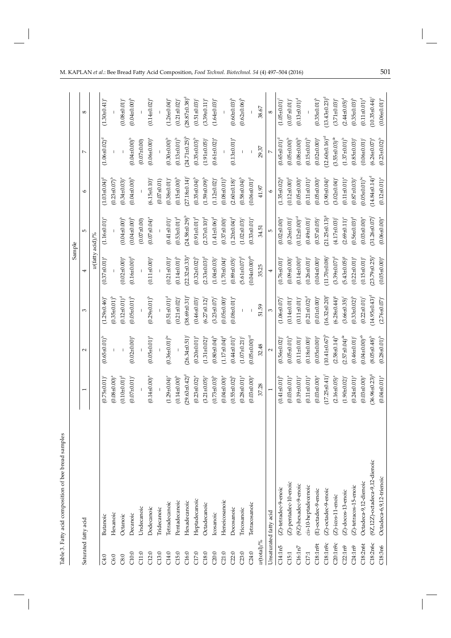|                                   |                                |                                 |                                 |                                | Sample                         |                        |                                |                                  |                                |
|-----------------------------------|--------------------------------|---------------------------------|---------------------------------|--------------------------------|--------------------------------|------------------------|--------------------------------|----------------------------------|--------------------------------|
| Saturated fatty acid              |                                |                                 | 2                               | S                              | 4                              | $\mathfrak{m}$         | $\circ$                        | $\overline{ }$                   | $^{\circ}$                     |
|                                   |                                |                                 |                                 |                                | $w$ (fatty acid)/%             |                        |                                |                                  |                                |
| C4:0                              | <b>Butanoic</b>                | $(0.75 \pm 0.01)$               | $(0.65 \pm 0.01)^{b}$           | $(1.29 \pm 0.46)$ <sup>e</sup> | $(0.37 \pm 0.01)^4$            | $(1.16 \pm 0.01)^e$    | $(1.03 \pm 0.04)^d$            | $(1.06 \pm 0.02)^d$              | $(1.30 \pm 0.41)^e$            |
| C6:0                              | Hexanoic                       | $(0.08 \pm 0.00)^4$             |                                 | $(0.35 \pm 0.01)^{b}$          |                                |                        | $(0.23 \pm 0.07)^{b}$          |                                  |                                |
| C8:0                              | Octanoic                       | $(0.10 \pm 0.01)^d$             |                                 | $(0.12 \pm 0.01)^d$            | $(0.02 \pm 0.00)^a$            | $(0.04 \pm 0.00)^{b}$  | $(0.34 \pm 0.03)^e$            |                                  | $(0.08 \pm 0.01)^c$            |
| C10:0                             | Decanoic                       | $(0.07 \pm 0.01)^c$             | $(0.02 \pm 0.00)^a$             | $(0.05 \pm 0.01)^b$            | $(0.16 \pm 0.00)^d$            | $(0.04 + 0.00)^{b}$    | $(0.04 \pm 0.00)^{b}$          | $(0.04 \pm 0.00)^{b}$            | $(0.04 + 0.00)^{b}$            |
| C11:0                             | Undecanoic                     | $\mathsf I$                     |                                 |                                |                                | $(0.07 + 0.00)$        |                                | $(0.07 + 0.00)$                  |                                |
| C12:0                             | Dodecanoic                     | $(0.14 \pm 0.00)^a$             | $(0.05 \pm 0.01)^a$             | $(0.29 \pm 0.01)^{b}$          | $(0.11 \pm 0.00)^a$            | $(0.07 \pm 0.04)^a$    | $(6.15 \pm 0.10)^c$            | $(0.06 \pm 0.00)^a$              | $(0.14 \pm 0.02)^{a}$          |
| C13:0                             | <b>Tridecanoic</b>             |                                 |                                 |                                |                                |                        | $(0.07 \pm 0.01)$              |                                  |                                |
| C14:0                             | Tetradecanoic                  | $(1.29 \pm 0.04)^e$             | $(0.36 \pm 0.01)^{bc}$          | $(0.51 \pm 0.01)^d$            | $(0.21 \pm 0.01)^a$            | $(0.41 \pm 0.01)^c$    | $(0.38 \pm 0.01)$ <sup>e</sup> | $(0.30 + 0.00)^{b}$              | $(1.26 \pm 0.04)^e$            |
| C15:0                             | Pentadecanoic                  | $(0.14 \pm 0.00)^{b}$           |                                 | $(0.21 \pm 0.02)$              | $(0.14 \pm 0.01)^{b}$          | $(0.53 \pm 0.01)^d$    | $(0.15 \pm 0.00)^{b}$          | $(0.13 \pm 0.01)^b$              | $(0.21 \pm 0.02)^{c}$          |
| C16:0                             | Hexadecanoic                   | $29.63 \pm 0.42)^d$             | $26.34 + 0.51$ <sup>o</sup>     | $(38.69 \pm 0.31)$             | $(22.32 \pm 0.33)^8$           | $(24.58 \pm 0.29)^b$   | $(27.18 \pm 0.14)$             | $(24.71 \pm 0.25)^{b}$           | $(28.87\pm0.38)$ <sup>c</sup>  |
| C17:0                             | Heptadecanoic                  | $(0.23 \pm 0.02)^{a}$           | $(0.20 \pm 0.01)^a$             | $(0.46 + 0.03)$                | $(0.32 \pm 0.02)^{b}$          | $(0.91 \pm 0.01)^d$    | $(0.35 \pm 0.04)^{b}$          | $(0.35 \pm 0.03)^{b}$            | $(0.51 \pm 0.03)^c$            |
| $\textcolor{red}{\textbf{C}18:0}$ | Octadecanoic                   | $(3.21 \pm 0.05)^e$             | $(1.31 \pm 0.02)^{a}$           | $(6.27 \pm 0.12)^t$            | $(2.33 \pm 0.03)^d$            | $(2.37\pm0.10)^d$      | $(1.59 \pm 0.09)^{b}$          | $(1.91 \pm 0.05)^c$              | $(3.39 \pm 0.11)^e$            |
| C20:0                             | Icosanoic                      | $(0.73 \pm 0.03)^{b}$           | $(0.80 \pm 0.04)^{b}$           | $(3.23 \pm 0.07)^4$            | $(1.04 \pm 0.03)^c$            | $(1.41\pm0.06)^d$      | $(1.12 \pm 0.02)^{o}$          | $(0.61 \pm 0.02)^{a}$            | $(1.64 \pm 0.03)^e$            |
| C21:0                             | Heneicosanoic                  | $(0.04 \pm 0.00)^a$             | $(1.17\pm0.04)^d$               | $(0.05 \pm 0.00)^4$            | $(1.70 \pm 0.04)$ <sup>e</sup> | $(0.37 \pm 0.00)^c$    | $(0.08\pm0.01)^{b}$            |                                  |                                |
| C22:0                             | Docosanoic                     | $(0.55 \pm 0.02)^{b}$           | $(0.44\pm0.01)^{b}$             | $(0.08 \pm 0.01)^4$            | $(0.89 + 0.05)^{\circ}$        | $(1.20 \pm 0.04)^d$    | $(2.60 \pm 0.18)°$             | $(0.13 \pm 0.01)^a$              | $(0.60 + 0.03)^{b}$            |
| C23:0                             | Tricosanoic                    | $(0.28 \pm 0.01)^a$             | $(1.07 \pm 0.21)$ <sup>c</sup>  |                                | $(5.61 \pm 0.07)^d$            | $(1.02 \pm 0.03)^c$    | $(0.58 \pm 0.04)^{b}$          |                                  | $(0.62 \pm 0.06)^{b}$          |
| C24:0                             | Tetracosanoic                  | $(0.03 \pm 0.00)^4$             | $(0.05 \pm 0.00)$ <sup>od</sup> |                                | $(0.04 \pm 0.00)^{ab}$         | $(0.33 \pm 0.01)^e$    | $(0.06 \pm 0.01)^d$            |                                  |                                |
| w(total)/%                        |                                | 37.28                           | 32.48                           | 51.59                          | 35.25                          | 34.51                  | 41.97                          | 29.37                            | 38.67                          |
|                                   | Unsaturated fatty acid         |                                 | 2                               |                                |                                | Б                      |                                |                                  | $^{\circ}$                     |
| C14:1n5                           | (Z)-tetradec-9-enoic           | $(0.41\pm0.01)^{b}$             | $(0.56 \pm 0.02)$               | $(1.06 \pm 0.07)$              | $(0.76 \pm 0.01)$              | $(0.02 \pm 0.00)^8$    | $(1.35 \pm 0.02)^8$            | $(0.65 \pm 0.01)^6$              | $(1.05 \pm 0.01)^f$            |
| C15:1                             | (Z)-pentadec-10-enoic          | $(0.03 \pm 0.01)^a$             | $(0.05 \pm 0.01)^{b}$           | $(0.14 \pm 0.01)$ <sup>e</sup> | $(0.09 + 0.00)^c$              | $(0.26 \pm 0.01)^t$    | $(0.12 \pm 0.00)^d$            | $(0.05 \pm 0.00)^{b}$            | $(0.07 \pm 0.01)^c$            |
| C16:1n7                           | (9Z)-hexadec-9-enoic           | $(0.19 \pm 0.01)^e$             | $(0.11 \pm 0.01)^c$             | $(0.11 \pm 0.01)^{\circ}$      | $(0.14 \pm 0.00)^d$            | $(0.12 \pm 0.00)^{cd}$ | $(0.05 \pm 0.00)^a$            | $(0.08 + 0.00)^{b}$              | $(0.13 \pm 0.01)^d$            |
| C17:1                             | cis-10-heptadecenoic           | $(0.11 \pm 0.01)^a$             | $(0.18 \pm 0.00)$               | $(0.21 \pm 0.02)^d$            | $(0.26 \pm 0.01)$ <sup>e</sup> | $(0.49 + 0.01)^t$      | $(0.11 \pm 0.01)^a$            | $(0.15 \pm 0.01)^{b}$            |                                |
| 718:1n9t                          | (E)-octadec-9-enoic            | $(0.03 \pm 0.00)^a$             | $(0.05 \pm 0.00)^a$             | $(0.01 \pm 0.00)^a$            | $(0.04 \pm 0.00)^a$            | $(0.57 \pm 0.05)^c$    | $(0.05 \pm 0.00)^4$            | $(0.02 \pm 0.00)^a$              | $(0.35 \pm 0.01)^{b}$          |
| C18:1n9c                          | (Z)-octadec-9-enoic            | $17.25 \pm 0.41$ ) <sup>f</sup> | $(10.41 \pm 0.67)^{p}$          | $(16.32 \pm 0.20)^9$           | $(11.70 \pm 0.08)$             | $(21.25 \pm 0.13)^8$   | $(3.90 \pm 0.04)^a$            | $(12.60 \pm 0.16)$ <sup>cd</sup> | $(13.43\pm0.23)^d$             |
| C20:1n9c                          | $(Z)$ -icos-11-enoic           | $(2.16 \pm 0.05)^{a}$           | $(2.58 \pm 0.14)^b$             | $(6.28 \pm 0.44)^8$            | $(3.39 \pm 0.07)^d$            | $(4.17\pm0.03)^t$      | $(3.02 \pm 0.04)^c$            | $(3.55 \pm 0.03)$ <sup>de</sup>  | $(3.71 \pm 0.03)^e$            |
| 22:1n9                            | $(Z)$ -docos-13-enoic          | $(1.90 \pm 0.02)^{c}$           | $(2.57 \pm 0.04)^{de}$          | $(3.66 \pm 0.35)^4$            | $(5.43 \pm 0.05)^8$            | $(2.69 \pm 0.11)^e$    | $(0.11 \pm 0.01)^a$            | $(1.37\pm0.01)^{b}$              | $(2.44 \pm 0.05)$ <sup>d</sup> |
| C24:1n9                           | $(Z)$ -tetracos-15-enoic       | $(0.24 \pm 0.01)^a$             | $(0.46 \pm 0.01)^c$             | $(0.33 \pm 0.02)^{b}$          | $(0.22 \pm 0.01)^a$            | $(0.56 \pm 0.03)^d$    | $(0.87 \pm 0.03)^{\circ}$      | $(0.85 \pm 0.03)^e$              | $(0.35 \pm 0.03)^{b}$          |
| 718:2n6t                          | Octadeca-9,12-dienoic          | $0.03 \pm 0.00$ <sup>a</sup>    | $(0.04 \pm 0.00)^{ab}$          | $(0.22 \pm 0.01)^6$            | $(0.15 \pm 0.01)$ <sup>e</sup> | $(0.03 + 0.00)^a$      | $(0.05 \pm 0.01)^{bc}$         | $(0.06 \pm 0.01)^c$              | $(0.11 \pm 0.01)^d$            |
| C18:2n6c                          | (9Z,12Z)-octadeca-9,12-dienoic | 36.96±0.23) <sup>8</sup>        | $(8.05 \pm 0.48)^{b}$           | $14.95\pm0.43$ <sup>d</sup>    | 23.79±0.25)                    | $(31.26 \pm 0.07)^6$   | $(14.84 \pm 0.14)^d$           | $(6.26 \pm 0.07)^{a}$            | $(10.35 \pm 0.44)^c$           |
| C18:3n6                           | Octadeca-6,9,12-trienoic       | $(0.04 \pm 0.01)^a$             | $(0.28 \pm 0.01)^{b}$           | $(2.76 + 0.07)$                | $(0.05 \pm 0.00)^a$            | $(0.06 \pm 0.00)^a$    | $(0.12 \pm 0.01)^a$            | $(0.23 \pm 0.02)^{b}$            | $(0.06 \pm 0.01)^a$            |

Table 3. Fatty acid composition of bee bread samples

Table 3. Fatty acid composition of bee bread samples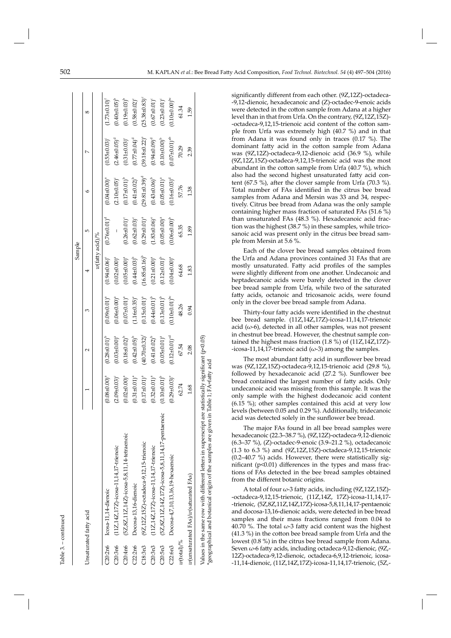| ¢ |
|---|
| ٦ |
|   |
|   |
|   |

 $\mathbf{\tau}$ 

|                              |                                                                                                                                                                                              |                                  |                                 |                              | Sample                         |                              |                       |                        |                                |
|------------------------------|----------------------------------------------------------------------------------------------------------------------------------------------------------------------------------------------|----------------------------------|---------------------------------|------------------------------|--------------------------------|------------------------------|-----------------------|------------------------|--------------------------------|
|                              | Unsaturated fatty acid                                                                                                                                                                       |                                  |                                 |                              | 4                              | 5                            | ≎                     |                        | ∞                              |
|                              |                                                                                                                                                                                              |                                  |                                 |                              | $w(\mbox{fatty acid})\slash\%$ |                              |                       |                        |                                |
|                              | C20:2n6 Icosa-11,14-dienoic                                                                                                                                                                  | $(0.08 \pm 0.00)^a$              | $(0.28 \pm 0.01)^{b}$           | $(0.09 + 0.01)^a$            | $(0.94 \pm 0.06)$ <sup>e</sup> | $(0.76 \pm 0.01)^d$          | $(0.04 \pm 0.00)^a$   | $(0.55 \pm 0.03)^c$    | $(1.73 \pm 0.10)^t$            |
| C20:3n6                      | $(11Z, 14Z, 17Z)$ -icosa-11, 14, 17-trienoic                                                                                                                                                 | $(2.09 \pm 0.03)^c$              | $(0.03 \pm 0.00)^a$             | $(0.06 \pm 0.00)^a$          | $(0.02 \pm 0.00)^a$            |                              | $(2.10\pm0.05)^c$     | $(2.46 \pm 0.05)^d$    | $(0.40 + 0.05)^{b}$            |
| C20:4n6                      | (5Z, 8Z, 11Z, 14Z)-icosa-5, 8, 11, 14-tetraenoic                                                                                                                                             | $(0.02 \pm 0.00)^a$              | $(0.18 + 0.02)^{b}$             | $(0.07 \pm 0.01)^a$          | $(0.05 \pm 0.00)^a$            | $(0.26 \pm 0.01)^c$          | $(0.17 \pm 0.01)^{b}$ | $(0.31 \pm 0.03)^c$    | $(0.19 + 0.03)^{b}$            |
| C22:2n6                      | Docosa-13,16-dienoic                                                                                                                                                                         | $.31 \pm 0.01$ <sup>a</sup>      | $(0.42\pm0.05)^{b}$             | $1.16 \pm 0.35$ <sup>e</sup> | $(0.44 \pm 0.03)^{b}$          | $(0.62 \pm 0.03)^c$          | $(0.41 \pm 0.02)^{b}$ | $(0.77 \pm 0.04)^d$    | $(0.58 \pm 0.02)^c$            |
| C18:3n3                      | (9Z, 12Z, 15Z)-octadeca-9, 12, 15-trienoic                                                                                                                                                   | $(0.17 \pm 0.01)^a$              | $(40.70 \pm 0.32)^6$            | $(0.15 \pm 0.01)^a$          | $16.85 \pm 0.16$ <sup>b</sup>  | $(0.29 \pm 0.01)^a$          | $(29.81 \pm 0.39)^d$  | $(39.18 \pm 0.22)^e$   | $(25.38 + 0.83)^c$             |
| C20:3n3                      | $(11Z, 14Z, 17Z)$ -icosa-11, 14, 17-trienoic                                                                                                                                                 | $.32 \pm 0.01$ <sup>a</sup>      | $(0.41 \pm 0.02)^{b}$           | $(0.44 \pm 0.01)^{b}$        | $(0.21 \pm 0.00)^a$            | $1.83 \pm 0.06$ <sup>e</sup> | $(0.43 \pm 0.06)^{b}$ | $(0.94 \pm 0.09)^d$    | $(0.67 \pm 0.01)^c$            |
| C20:5n3                      | (5Z,8Z,11Z,14Z,17Z)-icosa-5,8,11,14,17-pentaenoic                                                                                                                                            | $(0.10 + 0.01)^{b}$              | $(0.05 \pm 0.01)^a$             | $(0.13 \pm 0.01)^{b}$        | $(0.12 \pm 0.01)^{b}$          | $(0.05 \pm 0.00)^a$          | $(0.05 \pm 0.01)^a$   | $(0.1040.00)^{b}$      | $(0.23 \pm 0.01)$ <sup>c</sup> |
| C22:6n3                      | Docosa-4,7,10,13,16,19-hexaenoic                                                                                                                                                             | $.29 \pm 0.03$ <sup>e</sup><br>ë | $(0.12 \pm 0.01)$ <sup>cd</sup> | $(0.10\pm0.01)^{bc}$         | $(0.04 \pm 0.00)^a$            | $(0.06 \pm 0.00)^{b}$        | $(0.16 \pm 0.03)^d$   | $(0.07 \pm 0.01)^{ab}$ | $0.10\pm0.00$ <sup>bc</sup>    |
| $w(\text{total})\frac{9}{6}$ |                                                                                                                                                                                              | 62.74                            | 67.54                           | 48.26                        | 64.68                          | 65.35                        | 57.76                 | 70.29                  | 61.34                          |
|                              | w(unsaturated FAs)/w(saturated FAs)                                                                                                                                                          | 1.68                             | 2.08                            | 0.94                         | 1.83                           | 1.89                         | 1.38                  | 2.39                   | 1.59                           |
|                              | Values in the same row with different letters in superscript are statistically significant (p<0.05)<br>*geographical and botanical origin of the samples are given in Table 1; FA=fatty acid |                                  |                                 |                              |                                |                              |                       |                        |                                |

signi fi cantly di ff erent from each other. (9Z,12Z)-octadeca- -9,12-dienoic, hexadecanoic and (Z)-octadec-9-enoic acids were detected in the cotton sample from Adana at a higher level than in that from Urfa. On the contrary, (9Z,12Z,15Z)- -octadeca-9,12,15-trienoic acid content of the cotton sample from Urfa was extremely high (40.7 %) and in that from Adana it was found only in traces (0.17 %). The dominant fatty acid in the cotton sample from Adana was (9Z,12Z)-octadeca-9,12-dienoic acid (36.9 %), while (9Z,12Z,15Z)-octadeca-9,12,15-trienoic acid was the most abundant in the cotton sample from Urfa (40.7 %), which also had the second highest unsaturated fatty acid content (67.5 %), after the clover sample from Urfa (70.3 %). Total number of FAs identified in the citrus bee bread samples from Adana and Mersin was 33 and 34, respectively. Citrus bee bread from Adana was the only sample containing higher mass fraction of saturated FAs (51.6 %) than unsaturated FAs (48.3 %). Hexadecanoic acid fraction was the highest (38.7 %) in these samples, while tricosanoic acid was present only in the citrus bee bread sample from Mersin at 5.6 %.

Each of the clover bee bread samples obtained from the Urfa and Adana provinces contained 31 FAs that are mostly unsaturated. Fatty acid profiles of the samples were slightly different from one another. Undecanoic and heptadecanoic acids were barely detected in the clover bee bread sample from Urfa, while two of the saturated fatty acids, octanoic and tricosanoic acids, were found only in the clover bee bread sample from Adana.

Thirty-four fatty acids were identified in the chestnut bee bread sample. (11Z,14Z,17Z)-icosa-11,14,17-trienoic acid ( $\omega$ -6), detected in all other samples, was not present in chestnut bee bread. However, the chestnut sample contained the highest mass fraction (1.8 %) of (11Z,14Z,17Z)- -icosa-11,14,17-trienoic acid ( $\omega$ -3) among the samples.

The most abundant fatty acid in sunflower bee bread was (9Z,12Z,15Z)-octadeca-9,12,15-trienoic acid (29.8 %), followed by hexadecanoic acid (27.2 %). Sunflower bee bread contained the largest number of fatty acids. Only undecanoic acid was missing from this sample. It was the only sample with the highest dodecanoic acid content (6.15 %); other samples contained this acid at very low levels (between 0.05 and 0.29 %). Additionally, tridecanoic acid was detected solely in the sunflower bee bread.

The major FAs found in all bee bread samples were hexadecanoic (22.3-38.7 %), (9Z,12Z)-octadeca-9,12-dienoic (6.3–37 %), (Z)-octadec-9-enoic (3.9–21.2 %), octadecanoic (1.3 to 6.3 %) and (9Z,12Z,15Z)-octadeca-9,12,15-trienoic (0.2–40.7 %) acids. However, there were statistically significant ( $p<0.01$ ) differences in the types and mass fractions of FAs detected in the bee bread samples obtained from the different botanic origins.

A total of four  $\omega$ -3 fatty acids, including (9Z,12Z,15Z)--octadeca-9,12,15-trienoic, (11Z,14Z, 17Z)-icosa-11,14,17- -trienoic, (5Z,8Z,11Z,14Z,17Z)-icosa-5,8,11,14,17-pentaenoic and docosa-13,16-dienoic acids, were detected in bee bread samples and their mass fractions ranged from 0.04 to 40.70 %. The total  $\omega$ -3 fatty acid content was the highest  $(41.3\%)$  in the cotton bee bread sample from Urfa and the lowest (0.8 %) in the citrus bee bread sample from Adana. Seven  $\omega$ -6 fatty acids, including octadeca-9,12-dienoic, (9Z,-12Z)-octadeca-9,12-dienoic, octadeca-6,9,12-trienoic, icosa - -11,14-dienoic, (11Z,14Z,17Z)-icosa-11,14,17-trienoic, (5Z,-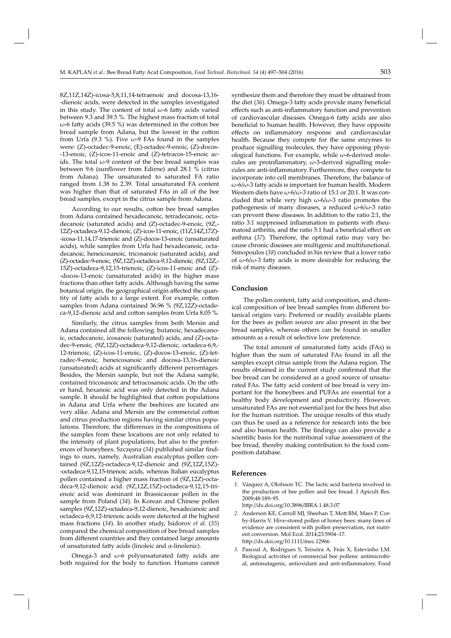8Z,11Z,14Z)-icosa-5,8,11,14-tetraenoic and docosa-13,16- -dienoic acids, were detected in the samples investigated in this study. The content of total  $\omega$ -6 fatty acids varied between 9.3 and 39.5 %. The highest mass fraction of total  $\omega$ -6 fatty acids (39.5 %) was determined in the cotton bee bread sample from Adana, but the lowest in the cotton from Urfa (9.3 %). Five  $\omega$ -9 FAs found in the samples were: (Z)-octadec-9-enoic, (E)-octadec-9-enoic, (Z)-docos- -13-enoic, (Z)-icos-11-enoic and (Z)-tetracos-15-enoic acids. The total  $\omega$ -9 content of the bee bread samples was between 9.6 (sunflower from Edirne) and 28.1 % (citrus from Adana). The unsaturated to saturated FA ratio ranged from 1.38 to 2.39. Total unsaturated FA content was higher than that of saturated FAs in all of the bee bread samples, except in the citrus sample from Adana.

According to our results, cotton bee bread samples from Adana contained hexadecanoic, tetradecanoic, octadecanoic (saturated acids) and (Z)-octadec-9-enoic, (9Z,- 12Z)-octadeca-9,12-dienoic, (Z)-icos-11-enoic, (11Z,14Z,17Z) - -icosa-11,14,17-trienoic and (Z)-docos-13-enoic (unsaturated acids), while samples from Urfa had hexadecanoic, octadecanoic, heneicosanoic, tricosanoic (saturated acids), and (Z)-octadec-9-enoic, (9Z,12Z)-octadeca-9,12-dienoic, (9Z,12Z,- 15Z)-octadeca-9,12,15-trienoic, (Z)-icos-11-enoic and (Z)- -docos-13-enoic (unsaturated acids) in the higher mass fractions than other fatty acids. Although having the same botanical origin, the geographical origin affected the quantity of fatty acids to a large extent. For example, cotton samples from Adana contained 36.96 % (9Z,12Z)-octadeca-9,12-dienoic acid and cotton samples from Urfa 8.05 %.

Similarly, the citrus samples from both Mersin and Adana contained all the following: butanoic, hexadecanoic, octadecanoic, icosanoic (saturated) acids, and (Z)-octadec -9-enoic, (9Z,12Z)-octadeca-9,12-dienoic, octadeca-6,9,- 12-trienoic, (Z)-icos-11-enoic, (Z)-docos-13-enoic, (Z)-tetradec-9-enoic, heneicosanoic and docosa-13,16-dienoic (unsaturated) acids at significantly different percentages. Besides, the Mersin sample, but not the Adana sample, contained tricosanoic and tetracosanoic acids. On the other hand, hexanoic acid was only detected in the Adana sample. It should be highlighted that cotton populations in Adana and Urfa where the beehives are located are very alike. Adana and Mersin are the commercial cotton and citrus production regions having similar citrus populations. Therefore, the differences in the compositions of the samples from these locations are not only related to the intensity of plant populations, but also to the preferences of honeybees. Szczęsna (34) published similar findings to ours, namely, Australian eucalyptus pollen contained (9Z,12Z)-octadeca-9,12-dienoic and (9Z,12Z,15Z)- -octadeca-9,12,15-trienoic acids, whereas Italian eucalyptus pollen contained a higher mass fraction of (9Z,12Z)-octadeca-9,12-dienoic acid. (9Z,12Z,15Z)-octadeca-9,12,15-trienoic acid was dominant in Brassicaceae pollen in the sample from Poland (*34*). In Korean and Chinese pollen samples (9Z,12Z)-octadeca-9,12-dienoic, hexadecanoic and octadeca-6,9,12-trienoic acids were detected at the highest mass fractions (*34*). In another study, Isidorov *et al.* (*35*) compared the chemical composition of bee bread samples from different countries and they contained large amounts of unsaturated fatty acids (linoleic and  $α$ -linolenic).

Omega-3 and  $\omega$ -6 polyunsaturated fatty acids are both required for the body to function. Humans cannot

synthesize them and therefore they must be obtained from the diet (36). Omega-3 fatty acids provide many beneficial effects such as anti-inflammatory function and prevention of cardiovascular diseases. Omega-6 fatty acids are also beneficial to human health. However, they have opposite effects on inflammatory response and cardiovascular health. Because they compete for the same enzymes to produce signalling molecules, they have opposing physiological functions. For example, while  $\omega$ -6-derived molecules are proinflammatory,  $\omega$ -3-derived signalling molecules are anti-inflammatory. Furthermore, they compete to incorporate into cell membranes. Therefore, the balance of  $ω$ -6/ω-3 fatty acids is important for human health. Modern Western diets have  $\omega$ -6/ $\omega$ -3 ratio of 15:1 or 20:1. It was concluded that while very high  $\omega$ -6/ $\omega$ -3 ratio promotes the pathogenesis of many diseases, a reduced  $\omega$ -6/ $\omega$ -3 ratio can prevent these diseases. In addition to the ratio 2:1, the ratio 3:1 suppressed inflammation in patients with rheumatoid arthritis, and the ratio 5:1 had a beneficial effect on asthma (*37*). Therefore, the optimal ratio may vary because chronic diseases are multigenic and multifunctional. Simopoulos (*38*) concluded in his review that a lower ratio of  $\omega$ -6/ $\omega$ -3 fatty acids is more desirable for reducing the risk of many diseases.

## **Conclusion**

The pollen content, fatty acid composition, and chemical composition of bee bread samples from different botanical origins vary. Preferred or readily available plants for the bees as pollen source are also present in the bee bread samples, whereas others can be found in smaller amounts as a result of selective low preference.

The total amount of unsaturated fatty acids (FAs) is higher than the sum of saturated FAs found in all the samples except citrus sample from the Adana region. The results obtained in the current study confirmed that the bee bread can be considered as a good source of unsaturated FAs. The fatty acid content of bee bread is very important for the honeybees and PUFAs are essential for a healthy body development and productivity. However, unsaturated FAs are not essential just for the bees but also for the human nutrition. The unique results of this study can thus be used as a reference for research into the bee and also human health. The findings can also provide a scientific basis for the nutritional value assessment of the bee bread, thereby making contribution to the food composition database.

# **References**

- *1.* Vásquez A, Olofsson TC. The lactic acid bacteria involved in the production of bee pollen and bee bread. J Apicult Res. 2009;48:189–95.
	- http://dx.doi.org/10.3896/IBRA.1.48.3.07
- *2.* Anderson KE, Carroll MJ, Sheehan T, Mott BM, Maes P, Corby-Harris V. Hive-stored pollen of honey bees: many lines of evidence are consistent with pollen preservation, not nutrient conversion. Mol Ecol. 2014;23:5904–17. http://dx.doi.org/10.1111/mec.12966
- *3.* Pascoal A, Rodrigues S, Teixeira A, Feás X, Estevinho LM. Biological activities of commercial bee pollens: antimicrobial, antimutagenic, antioxidant and anti-inflammatory. Food